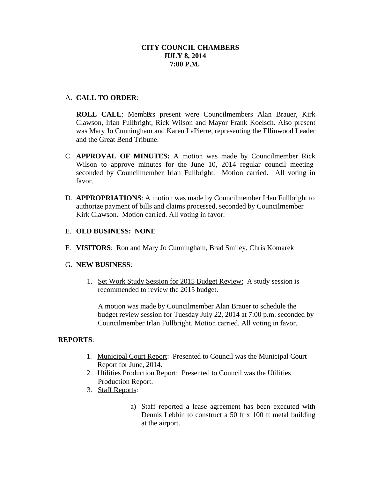## **CITY COUNCIL CHAMBERS JULY 8, 2014 7:00 P.M.**

## A. **CALL TO ORDER**:

**ROLL CALL:** MembBes present were Councilmembers Alan Brauer, Kirk Clawson, Irlan Fullbright, Rick Wilson and Mayor Frank Koelsch. Also present was Mary Jo Cunningham and Karen LaPierre, representing the Ellinwood Leader and the Great Bend Tribune.

- C. **APPROVAL OF MINUTES:** A motion was made by Councilmember Rick Wilson to approve minutes for the June 10, 2014 regular council meeting seconded by Councilmember Irlan Fullbright. Motion carried. All voting in favor.
- D. **APPROPRIATIONS**: A motion was made by Councilmember Irlan Fullbright to authorize payment of bills and claims processed, seconded by Councilmember Kirk Clawson. Motion carried. All voting in favor.

## E. **OLD BUSINESS: NONE**

F. **VISITORS**: Ron and Mary Jo Cunningham, Brad Smiley, Chris Komarek

#### G. **NEW BUSINESS**:

1. Set Work Study Session for 2015 Budget Review: A study session is recommended to review the 2015 budget.

A motion was made by Councilmember Alan Brauer to schedule the budget review session for Tuesday July 22, 2014 at 7:00 p.m. seconded by Councilmember Irlan Fullbright. Motion carried. All voting in favor.

# **REPORTS**:

- 1. Municipal Court Report: Presented to Council was the Municipal Court Report for June, 2014.
- 2. Utilities Production Report: Presented to Council was the Utilities Production Report.
- 3. Staff Reports:
	- a) Staff reported a lease agreement has been executed with Dennis Lebbin to construct a 50 ft x 100 ft metal building at the airport.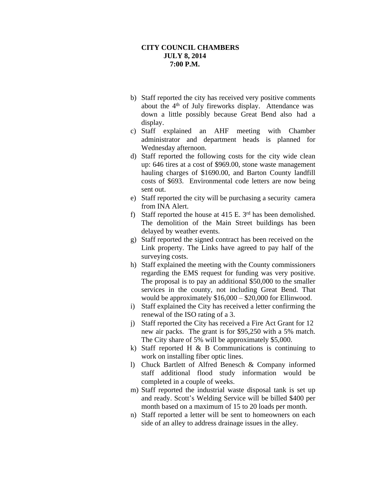#### **CITY COUNCIL CHAMBERS JULY 8, 2014 7:00 P.M.**

- b) Staff reported the city has received very positive comments about the 4<sup>th</sup> of July fireworks display. Attendance was down a little possibly because Great Bend also had a display.
- c) Staff explained an AHF meeting with Chamber administrator and department heads is planned for Wednesday afternoon.
- d) Staff reported the following costs for the city wide clean up: 646 tires at a cost of \$969.00, stone waste management hauling charges of \$1690.00, and Barton County landfill costs of \$693. Environmental code letters are now being sent out.
- e) Staff reported the city will be purchasing a security camera from INA Alert.
- f) Staff reported the house at 415 E.  $3<sup>rd</sup>$  has been demolished. The demolition of the Main Street buildings has been delayed by weather events.
- g) Staff reported the signed contract has been received on the Link property. The Links have agreed to pay half of the surveying costs.
- h) Staff explained the meeting with the County commissioners regarding the EMS request for funding was very positive. The proposal is to pay an additional \$50,000 to the smaller services in the county, not including Great Bend. That would be approximately \$16,000 – \$20,000 for Ellinwood.
- i) Staff explained the City has received a letter confirming the renewal of the ISO rating of a 3.
- j) Staff reported the City has received a Fire Act Grant for 12 new air packs. The grant is for \$95,250 with a 5% match. The City share of 5% will be approximately \$5,000.
- k) Staff reported H  $\&$  B Communications is continuing to work on installing fiber optic lines.
- l) Chuck Bartlett of Alfred Benesch & Company informed staff additional flood study information would be completed in a couple of weeks.
- m) Staff reported the industrial waste disposal tank is set up and ready. Scott's Welding Service will be billed \$400 per month based on a maximum of 15 to 20 loads per month.
- n) Staff reported a letter will be sent to homeowners on each side of an alley to address drainage issues in the alley.